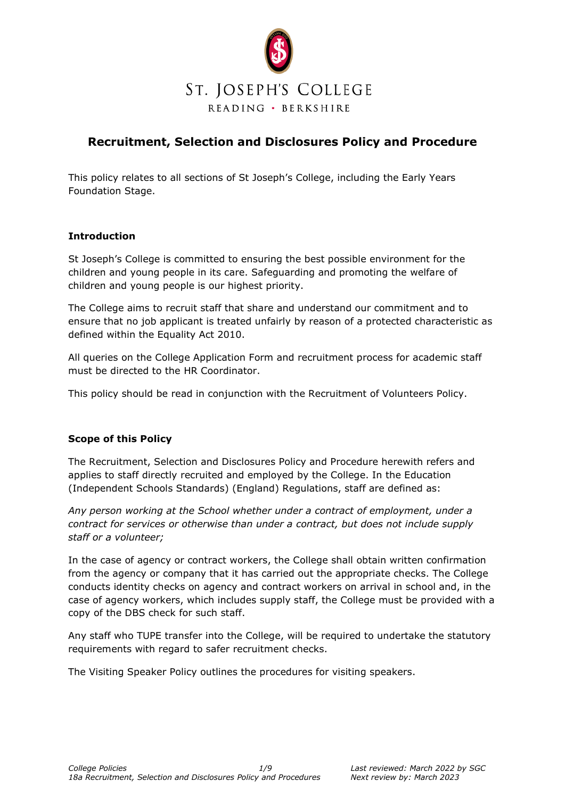

# **Recruitment, Selection and Disclosures Policy and Procedure**

This policy relates to all sections of St Joseph's College, including the Early Years Foundation Stage.

# **Introduction**

St Joseph's College is committed to ensuring the best possible environment for the children and young people in its care. Safeguarding and promoting the welfare of children and young people is our highest priority.

The College aims to recruit staff that share and understand our commitment and to ensure that no job applicant is treated unfairly by reason of a protected characteristic as defined within the Equality Act 2010.

All queries on the College Application Form and recruitment process for academic staff must be directed to the HR Coordinator.

This policy should be read in conjunction with the Recruitment of Volunteers Policy.

# **Scope of this Policy**

The Recruitment, Selection and Disclosures Policy and Procedure herewith refers and applies to staff directly recruited and employed by the College. In the Education (Independent Schools Standards) (England) Regulations, staff are defined as:

*Any person working at the School whether under a contract of employment, under a contract for services or otherwise than under a contract, but does not include supply staff or a volunteer;*

In the case of agency or contract workers, the College shall obtain written confirmation from the agency or company that it has carried out the appropriate checks. The College conducts identity checks on agency and contract workers on arrival in school and, in the case of agency workers, which includes supply staff, the College must be provided with a copy of the DBS check for such staff.

Any staff who TUPE transfer into the College, will be required to undertake the statutory requirements with regard to safer recruitment checks.

The Visiting Speaker Policy outlines the procedures for visiting speakers.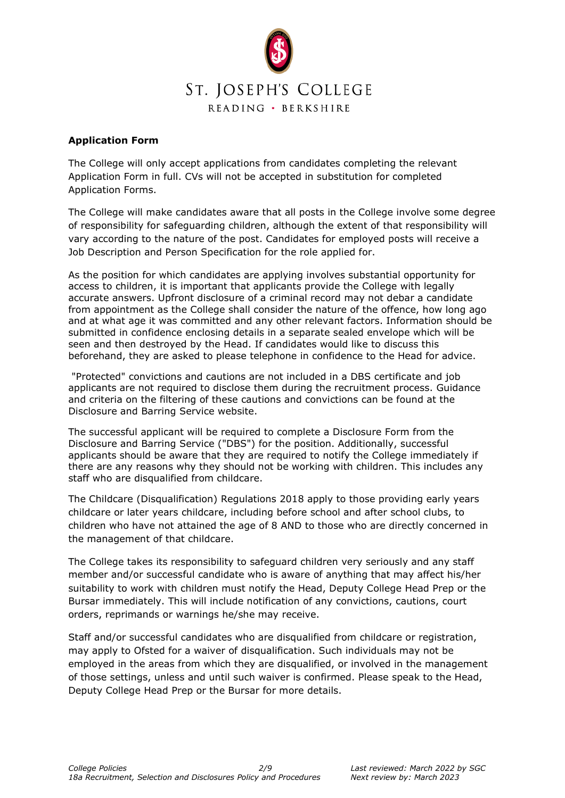

#### **Application Form**

The College will only accept applications from candidates completing the relevant Application Form in full. CVs will not be accepted in substitution for completed Application Forms.

The College will make candidates aware that all posts in the College involve some degree of responsibility for safeguarding children, although the extent of that responsibility will vary according to the nature of the post. Candidates for employed posts will receive a Job Description and Person Specification for the role applied for.

As the position for which candidates are applying involves substantial opportunity for access to children, it is important that applicants provide the College with legally accurate answers. Upfront disclosure of a criminal record may not debar a candidate from appointment as the College shall consider the nature of the offence, how long ago and at what age it was committed and any other relevant factors. Information should be submitted in confidence enclosing details in a separate sealed envelope which will be seen and then destroyed by the Head. If candidates would like to discuss this beforehand, they are asked to please telephone in confidence to the Head for advice.

"Protected" convictions and cautions are not included in a DBS certificate and job applicants are not required to disclose them during the recruitment process. Guidance and criteria on the filtering of these cautions and convictions can be found at the Disclosure and Barring Service website.

The successful applicant will be required to complete a Disclosure Form from the Disclosure and Barring Service ("DBS") for the position. Additionally, successful applicants should be aware that they are required to notify the College immediately if there are any reasons why they should not be working with children. This includes any staff who are disqualified from childcare.

The Childcare (Disqualification) Regulations 2018 apply to those providing early years childcare or later years childcare, including before school and after school clubs, to children who have not attained the age of 8 AND to those who are directly concerned in the management of that childcare.

The College takes its responsibility to safeguard children very seriously and any staff member and/or successful candidate who is aware of anything that may affect his/her suitability to work with children must notify the Head, Deputy College Head Prep or the Bursar immediately. This will include notification of any convictions, cautions, court orders, reprimands or warnings he/she may receive.

Staff and/or successful candidates who are disqualified from childcare or registration, may apply to Ofsted for a waiver of disqualification. Such individuals may not be employed in the areas from which they are disqualified, or involved in the management of those settings, unless and until such waiver is confirmed. Please speak to the Head, Deputy College Head Prep or the Bursar for more details.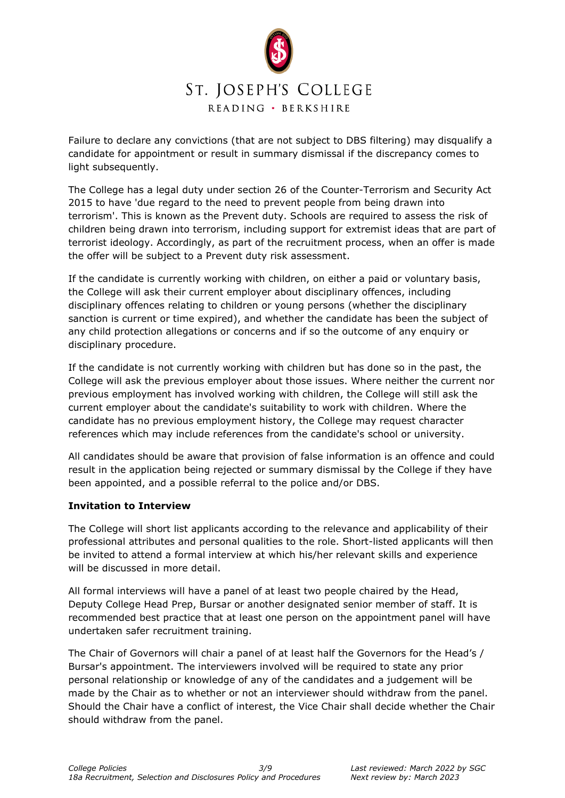

Failure to declare any convictions (that are not subject to DBS filtering) may disqualify a candidate for appointment or result in summary dismissal if the discrepancy comes to light subsequently.

The College has a legal duty under section 26 of the Counter-Terrorism and Security Act 2015 to have 'due regard to the need to prevent people from being drawn into terrorism'. This is known as the Prevent duty. Schools are required to assess the risk of children being drawn into terrorism, including support for extremist ideas that are part of terrorist ideology. Accordingly, as part of the recruitment process, when an offer is made the offer will be subject to a Prevent duty risk assessment.

If the candidate is currently working with children, on either a paid or voluntary basis, the College will ask their current employer about disciplinary offences, including disciplinary offences relating to children or young persons (whether the disciplinary sanction is current or time expired), and whether the candidate has been the subject of any child protection allegations or concerns and if so the outcome of any enquiry or disciplinary procedure.

If the candidate is not currently working with children but has done so in the past, the College will ask the previous employer about those issues. Where neither the current nor previous employment has involved working with children, the College will still ask the current employer about the candidate's suitability to work with children. Where the candidate has no previous employment history, the College may request character references which may include references from the candidate's school or university.

All candidates should be aware that provision of false information is an offence and could result in the application being rejected or summary dismissal by the College if they have been appointed, and a possible referral to the police and/or DBS.

#### **Invitation to Interview**

The College will short list applicants according to the relevance and applicability of their professional attributes and personal qualities to the role. Short-listed applicants will then be invited to attend a formal interview at which his/her relevant skills and experience will be discussed in more detail.

All formal interviews will have a panel of at least two people chaired by the Head, Deputy College Head Prep, Bursar or another designated senior member of staff. It is recommended best practice that at least one person on the appointment panel will have undertaken safer recruitment training.

The Chair of Governors will chair a panel of at least half the Governors for the Head's / Bursar's appointment. The interviewers involved will be required to state any prior personal relationship or knowledge of any of the candidates and a judgement will be made by the Chair as to whether or not an interviewer should withdraw from the panel. Should the Chair have a conflict of interest, the Vice Chair shall decide whether the Chair should withdraw from the panel.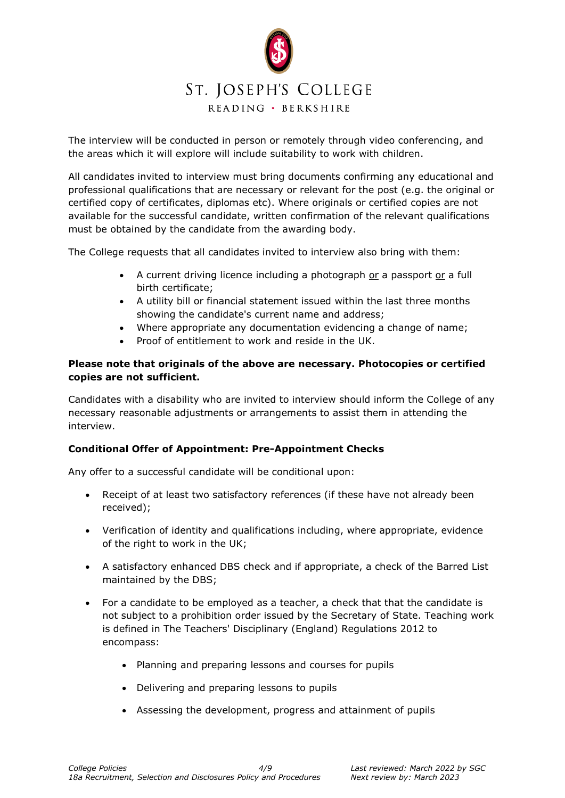

The interview will be conducted in person or remotely through video conferencing, and the areas which it will explore will include suitability to work with children.

All candidates invited to interview must bring documents confirming any educational and professional qualifications that are necessary or relevant for the post (e.g. the original or certified copy of certificates, diplomas etc). Where originals or certified copies are not available for the successful candidate, written confirmation of the relevant qualifications must be obtained by the candidate from the awarding body.

The College requests that all candidates invited to interview also bring with them:

- A current driving licence including a photograph or a passport or a full birth certificate;
- A utility bill or financial statement issued within the last three months showing the candidate's current name and address;
- Where appropriate any documentation evidencing a change of name;
- Proof of entitlement to work and reside in the UK.

## **Please note that originals of the above are necessary. Photocopies or certified copies are not sufficient.**

Candidates with a disability who are invited to interview should inform the College of any necessary reasonable adjustments or arrangements to assist them in attending the interview.

#### **Conditional Offer of Appointment: Pre-Appointment Checks**

Any offer to a successful candidate will be conditional upon:

- Receipt of at least two satisfactory references (if these have not already been received);
- Verification of identity and qualifications including, where appropriate, evidence of the right to work in the UK;
- A satisfactory enhanced DBS check and if appropriate, a check of the Barred List maintained by the DBS;
- For a candidate to be employed as a teacher, a check that that the candidate is not subject to a prohibition order issued by the Secretary of State. Teaching work is defined in The Teachers' Disciplinary (England) Regulations 2012 to encompass:
	- Planning and preparing lessons and courses for pupils
	- Delivering and preparing lessons to pupils
	- Assessing the development, progress and attainment of pupils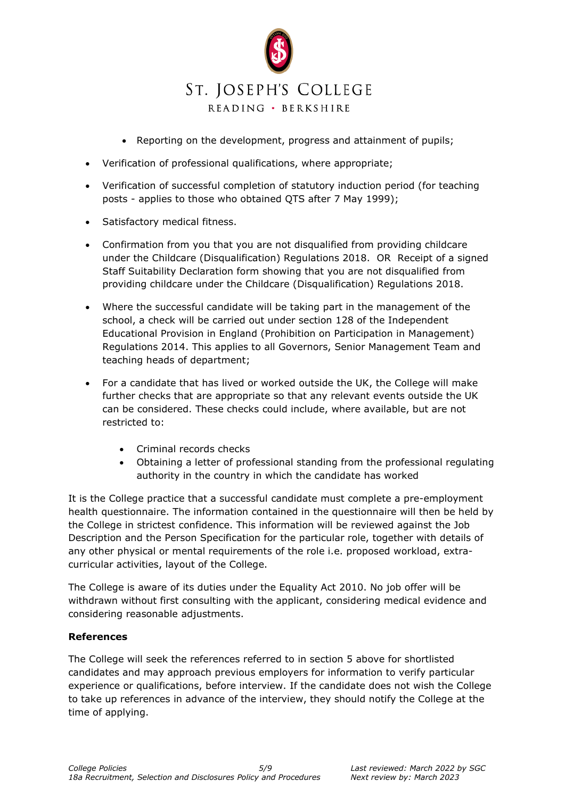

- Reporting on the development, progress and attainment of pupils;
- Verification of professional qualifications, where appropriate;
- Verification of successful completion of statutory induction period (for teaching posts - applies to those who obtained QTS after 7 May 1999);
- Satisfactory medical fitness.
- Confirmation from you that you are not disqualified from providing childcare under the Childcare (Disqualification) Regulations 2018. OR Receipt of a signed Staff Suitability Declaration form showing that you are not disqualified from providing childcare under the Childcare (Disqualification) Regulations 2018.
- Where the successful candidate will be taking part in the management of the school, a check will be carried out under section 128 of the Independent Educational Provision in England (Prohibition on Participation in Management) Regulations 2014. This applies to all Governors, Senior Management Team and teaching heads of department;
- For a candidate that has lived or worked outside the UK, the College will make further checks that are appropriate so that any relevant events outside the UK can be considered. These checks could include, where available, but are not restricted to:
	- Criminal records checks
	- Obtaining a letter of professional standing from the professional regulating authority in the country in which the candidate has worked

It is the College practice that a successful candidate must complete a pre-employment health questionnaire. The information contained in the questionnaire will then be held by the College in strictest confidence. This information will be reviewed against the Job Description and the Person Specification for the particular role, together with details of any other physical or mental requirements of the role i.e. proposed workload, extracurricular activities, layout of the College.

The College is aware of its duties under the Equality Act 2010. No job offer will be withdrawn without first consulting with the applicant, considering medical evidence and considering reasonable adjustments.

#### **References**

The College will seek the references referred to in section 5 above for shortlisted candidates and may approach previous employers for information to verify particular experience or qualifications, before interview. If the candidate does not wish the College to take up references in advance of the interview, they should notify the College at the time of applying.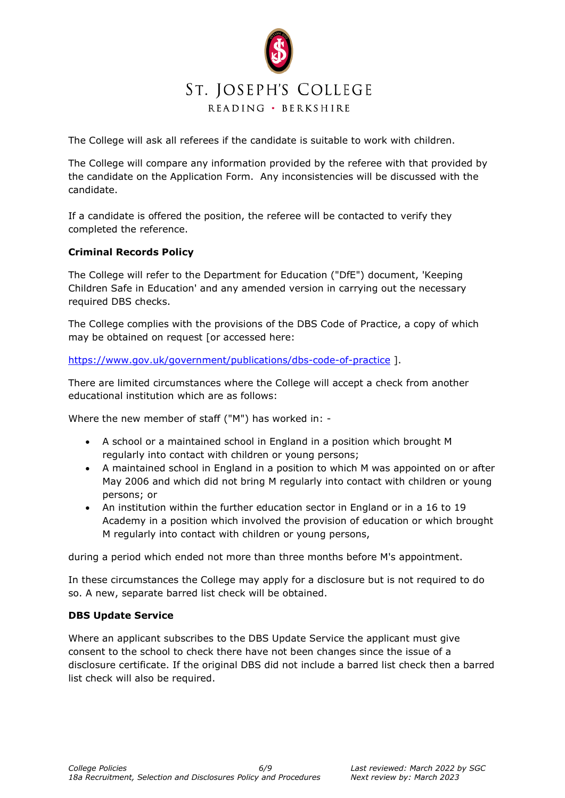

The College will ask all referees if the candidate is suitable to work with children.

The College will compare any information provided by the referee with that provided by the candidate on the Application Form. Any inconsistencies will be discussed with the candidate.

If a candidate is offered the position, the referee will be contacted to verify they completed the reference.

## **Criminal Records Policy**

The College will refer to the Department for Education ("DfE") document, 'Keeping Children Safe in Education' and any amended version in carrying out the necessary required DBS checks.

The College complies with the provisions of the DBS Code of Practice, a copy of which may be obtained on request [or accessed here:

<https://www.gov.uk/government/publications/dbs-code-of-practice> ].

There are limited circumstances where the College will accept a check from another educational institution which are as follows:

Where the new member of staff ("M") has worked in: -

- A school or a maintained school in England in a position which brought M regularly into contact with children or young persons;
- A maintained school in England in a position to which M was appointed on or after May 2006 and which did not bring M regularly into contact with children or young persons; or
- An institution within the further education sector in England or in a 16 to 19 Academy in a position which involved the provision of education or which brought M regularly into contact with children or young persons,

during a period which ended not more than three months before M's appointment.

In these circumstances the College may apply for a disclosure but is not required to do so. A new, separate barred list check will be obtained.

#### **DBS Update Service**

Where an applicant subscribes to the DBS Update Service the applicant must give consent to the school to check there have not been changes since the issue of a disclosure certificate. If the original DBS did not include a barred list check then a barred list check will also be required.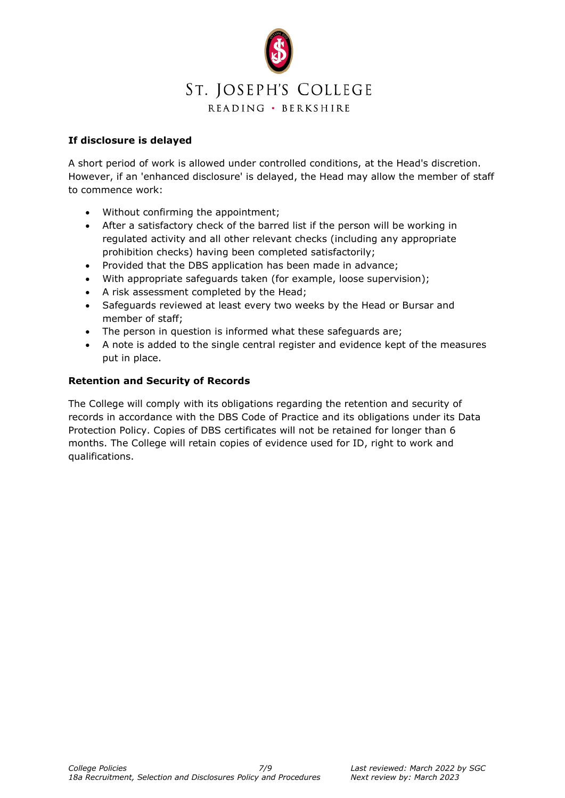

## **If disclosure is delayed**

A short period of work is allowed under controlled conditions, at the Head's discretion. However, if an 'enhanced disclosure' is delayed, the Head may allow the member of staff to commence work:

- Without confirming the appointment;
- After a satisfactory check of the barred list if the person will be working in regulated activity and all other relevant checks (including any appropriate prohibition checks) having been completed satisfactorily;
- Provided that the DBS application has been made in advance;
- With appropriate safeguards taken (for example, loose supervision);
- A risk assessment completed by the Head;
- Safeguards reviewed at least every two weeks by the Head or Bursar and member of staff;
- The person in question is informed what these safeguards are;
- A note is added to the single central register and evidence kept of the measures put in place.

#### **Retention and Security of Records**

The College will comply with its obligations regarding the retention and security of records in accordance with the DBS Code of Practice and its obligations under its Data Protection Policy. Copies of DBS certificates will not be retained for longer than 6 months. The College will retain copies of evidence used for ID, right to work and qualifications.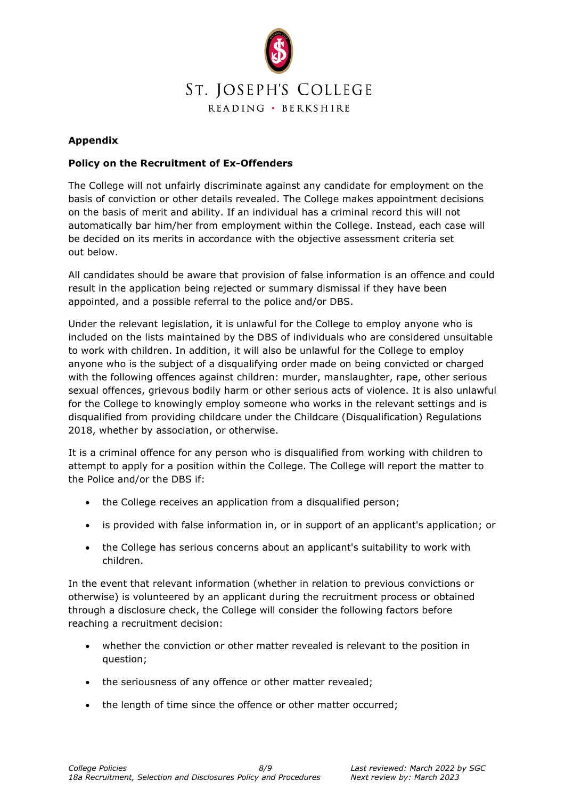

## **Appendix**

#### **Policy on the Recruitment of Ex-Offenders**

The College will not unfairly discriminate against any candidate for employment on the basis of conviction or other details revealed. The College makes appointment decisions on the basis of merit and ability. If an individual has a criminal record this will not automatically bar him/her from employment within the College. Instead, each case will be decided on its merits in accordance with the objective assessment criteria set out below.

All candidates should be aware that provision of false information is an offence and could result in the application being rejected or summary dismissal if they have been appointed, and a possible referral to the police and/or DBS.

Under the relevant legislation, it is unlawful for the College to employ anyone who is included on the lists maintained by the DBS of individuals who are considered unsuitable to work with children. In addition, it will also be unlawful for the College to employ anyone who is the subject of a disqualifying order made on being convicted or charged with the following offences against children: murder, manslaughter, rape, other serious sexual offences, grievous bodily harm or other serious acts of violence. It is also unlawful for the College to knowingly employ someone who works in the relevant settings and is disqualified from providing childcare under the Childcare (Disqualification) Regulations 2018, whether by association, or otherwise.

It is a criminal offence for any person who is disqualified from working with children to attempt to apply for a position within the College. The College will report the matter to the Police and/or the DBS if:

- the College receives an application from a disqualified person;
- is provided with false information in, or in support of an applicant's application; or
- the College has serious concerns about an applicant's suitability to work with children.

In the event that relevant information (whether in relation to previous convictions or otherwise) is volunteered by an applicant during the recruitment process or obtained through a disclosure check, the College will consider the following factors before reaching a recruitment decision:

- whether the conviction or other matter revealed is relevant to the position in question;
- the seriousness of any offence or other matter revealed;
- the length of time since the offence or other matter occurred;